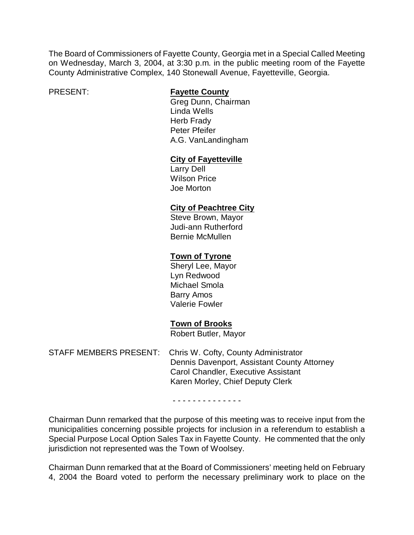The Board of Commissioners of Fayette County, Georgia met in a Special Called Meeting on Wednesday, March 3, 2004, at 3:30 p.m. in the public meeting room of the Fayette County Administrative Complex, 140 Stonewall Avenue, Fayetteville, Georgia.

#### PRESENT: **Fayette County**

Greg Dunn, Chairman Linda Wells Herb Frady Peter Pfeifer A.G. VanLandingham

## **City of Fayetteville**

Larry Dell Wilson Price Joe Morton

## **City of Peachtree City**

Steve Brown, Mayor Judi-ann Rutherford Bernie McMullen

# **Town of Tyrone**

Sheryl Lee, Mayor Lyn Redwood Michael Smola Barry Amos Valerie Fowler

## **Town of Brooks**

Robert Butler, Mayor

STAFF MEMBERS PRESENT: Chris W. Cofty, County Administrator Dennis Davenport, Assistant County Attorney Carol Chandler, Executive Assistant Karen Morley, Chief Deputy Clerk

- - - - - - - - - - - - - -

Chairman Dunn remarked that the purpose of this meeting was to receive input from the municipalities concerning possible projects for inclusion in a referendum to establish a Special Purpose Local Option Sales Tax in Fayette County. He commented that the only jurisdiction not represented was the Town of Woolsey.

Chairman Dunn remarked that at the Board of Commissioners' meeting held on February 4, 2004 the Board voted to perform the necessary preliminary work to place on the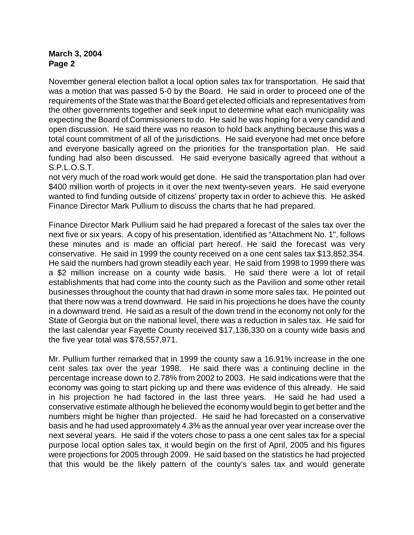November general election ballot a local option sales tax for transportation. He said that was a motion that was passed 5-0 by the Board. He said in order to proceed one of the requirements of the State was that the Board get elected officials and representatives from the other governments together and seek input to determine what each municipality was expecting the Board of Commissioners to do. He said he was hoping for a very candid and open discussion. He said there was no reason to hold back anything because this was a total count commitment of all of the jurisdictions. He said everyone had met once before and everyone basically agreed on the priorities for the transportation plan. He said funding had also been discussed. He said everyone basically agreed that without a S.P.L.O.S.T.

not very much of the road work would get done. He said the transportation plan had over \$400 million worth of projects in it over the next twenty-seven years. He said everyone wanted to find funding outside of citizens' property tax in order to achieve this. He asked Finance Director Mark Pullium to discuss the charts that he had prepared.

Finance Director Mark Pullium said he had prepared a forecast of the sales tax over the next five or six years. A copy of his presentation, identified as "Attachment No. 1", follows these minutes and is made an official part hereof. He said the forecast was very conservative. He said in 1999 the county received on a one cent sales tax \$13,852,354. He said the numbers had grown steadily each year. He said from 1998 to 1999 there was a \$2 million increase on a county wide basis. He said there were a lot of retail establishments that had come into the county such as the Pavilion and some other retail businesses throughout the county that had drawn in some more sales tax. He pointed out that there now was a trend downward. He said in his projections he does have the county in a downward trend. He said as a result of the down trend in the economy not only for the State of Georgia but on the national level, there was a reduction in sales tax. He said for the last calendar year Fayette County received \$17,136,330 on a county wide basis and the five year total was \$78,557,971.

Mr. Pullium further remarked that in 1999 the county saw a 16.91% increase in the one cent sales tax over the year 1998. He said there was a continuing decline in the percentage increase down to 2.78% from 2002 to 2003. He said indications were that the economy was going to start picking up and there was evidence of this already. He said in his projection he had factored in the last three years. He said he had used a conservative estimate although he believed the economy would begin to get better and the numbers might be higher than projected. He said he had forecasted on a conservative basis and he had used approximately 4.3% as the annual year over year increase over the next several years. He said if the voters chose to pass a one cent sales tax for a special purpose local option sales tax, it would begin on the first of April, 2005 and his figures were projections for 2005 through 2009. He said based on the statistics he had projected that this would be the likely pattern of the county's sales tax and would generate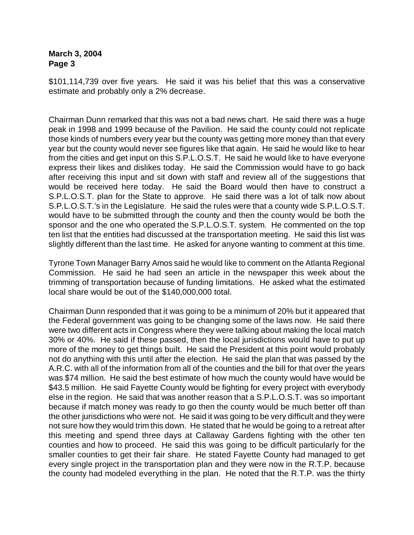\$101,114,739 over five years. He said it was his belief that this was a conservative estimate and probably only a 2% decrease.

Chairman Dunn remarked that this was not a bad news chart. He said there was a huge peak in 1998 and 1999 because of the Pavilion. He said the county could not replicate those kinds of numbers every year but the county was getting more money than that every year but the county would never see figures like that again. He said he would like to hear from the cities and get input on this S.P.L.O.S.T. He said he would like to have everyone express their likes and dislikes today. He said the Commission would have to go back after receiving this input and sit down with staff and review all of the suggestions that would be received here today. He said the Board would then have to construct a S.P.L.O.S.T. plan for the State to approve. He said there was a lot of talk now about S.P.L.O.S.T.'s in the Legislature. He said the rules were that a county wide S.P.L.O.S.T. would have to be submitted through the county and then the county would be both the sponsor and the one who operated the S.P.L.O.S.T. system. He commented on the top ten list that the entities had discussed at the transportation meeting. He said this list was slightly different than the last time. He asked for anyone wanting to comment at this time.

Tyrone Town Manager Barry Amos said he would like to comment on the Atlanta Regional Commission. He said he had seen an article in the newspaper this week about the trimming of transportation because of funding limitations. He asked what the estimated local share would be out of the \$140,000,000 total.

Chairman Dunn responded that it was going to be a minimum of 20% but it appeared that the Federal government was going to be changing some of the laws now. He said there were two different acts in Congress where they were talking about making the local match 30% or 40%. He said if these passed, then the local jurisdictions would have to put up more of the money to get things built. He said the President at this point would probably not do anything with this until after the election. He said the plan that was passed by the A.R.C. with all of the information from all of the counties and the bill for that over the years was \$74 million. He said the best estimate of how much the county would have would be \$43.5 million. He said Fayette County would be fighting for every project with everybody else in the region. He said that was another reason that a S.P.L.O.S.T. was so important because if match money was ready to go then the county would be much better off than the other jurisdictions who were not. He said it was going to be very difficult and they were not sure how they would trim this down. He stated that he would be going to a retreat after this meeting and spend three days at Callaway Gardens fighting with the other ten counties and how to proceed. He said this was going to be difficult particularly for the smaller counties to get their fair share. He stated Fayette County had managed to get every single project in the transportation plan and they were now in the R.T.P. because the county had modeled everything in the plan. He noted that the R.T.P. was the thirty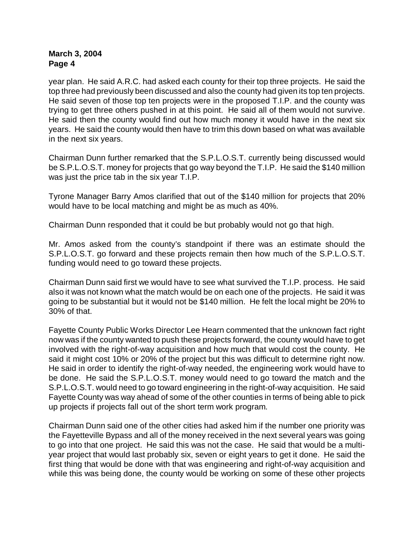year plan. He said A.R.C. had asked each county for their top three projects. He said the top three had previously been discussed and also the county had given its top ten projects. He said seven of those top ten projects were in the proposed T.I.P. and the county was trying to get three others pushed in at this point. He said all of them would not survive. He said then the county would find out how much money it would have in the next six years. He said the county would then have to trim this down based on what was available in the next six years.

Chairman Dunn further remarked that the S.P.L.O.S.T. currently being discussed would be S.P.L.O.S.T. money for projects that go way beyond the T.I.P. He said the \$140 million was just the price tab in the six year T.I.P.

Tyrone Manager Barry Amos clarified that out of the \$140 million for projects that 20% would have to be local matching and might be as much as 40%.

Chairman Dunn responded that it could be but probably would not go that high.

Mr. Amos asked from the county's standpoint if there was an estimate should the S.P.L.O.S.T. go forward and these projects remain then how much of the S.P.L.O.S.T. funding would need to go toward these projects.

Chairman Dunn said first we would have to see what survived the T.I.P. process. He said also it was not known what the match would be on each one of the projects. He said it was going to be substantial but it would not be \$140 million. He felt the local might be 20% to 30% of that.

Fayette County Public Works Director Lee Hearn commented that the unknown fact right now was if the county wanted to push these projects forward, the county would have to get involved with the right-of-way acquisition and how much that would cost the county. He said it might cost 10% or 20% of the project but this was difficult to determine right now. He said in order to identify the right-of-way needed, the engineering work would have to be done. He said the S.P.L.O.S.T. money would need to go toward the match and the S.P.L.O.S.T. would need to go toward engineering in the right-of-way acquisition. He said Fayette County was way ahead of some of the other counties in terms of being able to pick up projects if projects fall out of the short term work program.

Chairman Dunn said one of the other cities had asked him if the number one priority was the Fayetteville Bypass and all of the money received in the next several years was going to go into that one project. He said this was not the case. He said that would be a multiyear project that would last probably six, seven or eight years to get it done. He said the first thing that would be done with that was engineering and right-of-way acquisition and while this was being done, the county would be working on some of these other projects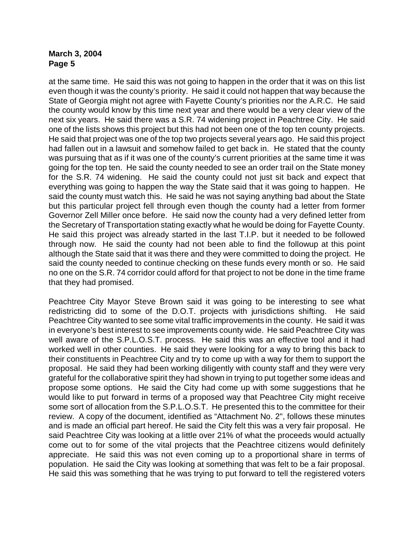at the same time. He said this was not going to happen in the order that it was on this list even though it was the county's priority. He said it could not happen that way because the State of Georgia might not agree with Fayette County's priorities nor the A.R.C. He said the county would know by this time next year and there would be a very clear view of the next six years. He said there was a S.R. 74 widening project in Peachtree City. He said one of the lists shows this project but this had not been one of the top ten county projects. He said that project was one of the top two projects several years ago. He said this project had fallen out in a lawsuit and somehow failed to get back in. He stated that the county was pursuing that as if it was one of the county's current priorities at the same time it was going for the top ten. He said the county needed to see an order trail on the State money for the S.R. 74 widening. He said the county could not just sit back and expect that everything was going to happen the way the State said that it was going to happen. He said the county must watch this. He said he was not saying anything bad about the State but this particular project fell through even though the county had a letter from former Governor Zell Miller once before. He said now the county had a very defined letter from the Secretary of Transportation stating exactly what he would be doing for Fayette County. He said this project was already started in the last T.I.P. but it needed to be followed through now. He said the county had not been able to find the followup at this point although the State said that it was there and they were committed to doing the project. He said the county needed to continue checking on these funds every month or so. He said no one on the S.R. 74 corridor could afford for that project to not be done in the time frame that they had promised.

Peachtree City Mayor Steve Brown said it was going to be interesting to see what redistricting did to some of the D.O.T. projects with jurisdictions shifting. He said Peachtree City wanted to see some vital traffic improvements in the county. He said it was in everyone's best interest to see improvements county wide. He said Peachtree City was well aware of the S.P.L.O.S.T. process. He said this was an effective tool and it had worked well in other counties. He said they were looking for a way to bring this back to their constituents in Peachtree City and try to come up with a way for them to support the proposal. He said they had been working diligently with county staff and they were very grateful for the collaborative spirit they had shown in trying to put together some ideas and propose some options. He said the City had come up with some suggestions that he would like to put forward in terms of a proposed way that Peachtree City might receive some sort of allocation from the S.P.L.O.S.T. He presented this to the committee for their review. A copy of the document, identified as "Attachment No. 2", follows these minutes and is made an official part hereof. He said the City felt this was a very fair proposal. He said Peachtree City was looking at a little over 21% of what the proceeds would actually come out to for some of the vital projects that the Peachtree citizens would definitely appreciate. He said this was not even coming up to a proportional share in terms of population. He said the City was looking at something that was felt to be a fair proposal. He said this was something that he was trying to put forward to tell the registered voters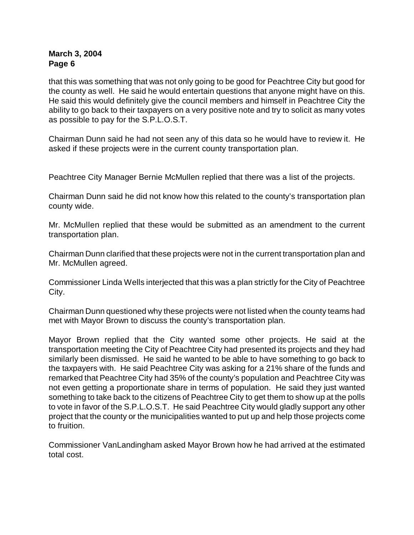that this was something that was not only going to be good for Peachtree City but good for the county as well. He said he would entertain questions that anyone might have on this. He said this would definitely give the council members and himself in Peachtree City the ability to go back to their taxpayers on a very positive note and try to solicit as many votes as possible to pay for the S.P.L.O.S.T.

Chairman Dunn said he had not seen any of this data so he would have to review it. He asked if these projects were in the current county transportation plan.

Peachtree City Manager Bernie McMullen replied that there was a list of the projects.

Chairman Dunn said he did not know how this related to the county's transportation plan county wide.

Mr. McMullen replied that these would be submitted as an amendment to the current transportation plan.

Chairman Dunn clarified that these projects were not in the current transportation plan and Mr. McMullen agreed.

Commissioner Linda Wells interjected that this was a plan strictly for the City of Peachtree City.

Chairman Dunn questioned why these projects were not listed when the county teams had met with Mayor Brown to discuss the county's transportation plan.

Mayor Brown replied that the City wanted some other projects. He said at the transportation meeting the City of Peachtree City had presented its projects and they had similarly been dismissed. He said he wanted to be able to have something to go back to the taxpayers with. He said Peachtree City was asking for a 21% share of the funds and remarked that Peachtree City had 35% of the county's population and Peachtree City was not even getting a proportionate share in terms of population. He said they just wanted something to take back to the citizens of Peachtree City to get them to show up at the polls to vote in favor of the S.P.L.O.S.T. He said Peachtree City would gladly support any other project that the county or the municipalities wanted to put up and help those projects come to fruition.

Commissioner VanLandingham asked Mayor Brown how he had arrived at the estimated total cost.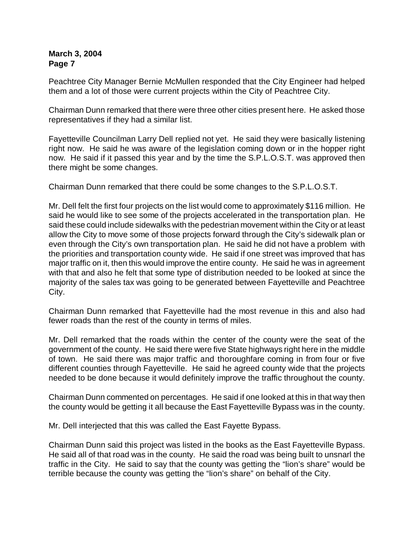Peachtree City Manager Bernie McMullen responded that the City Engineer had helped them and a lot of those were current projects within the City of Peachtree City.

Chairman Dunn remarked that there were three other cities present here. He asked those representatives if they had a similar list.

Fayetteville Councilman Larry Dell replied not yet. He said they were basically listening right now. He said he was aware of the legislation coming down or in the hopper right now. He said if it passed this year and by the time the S.P.L.O.S.T. was approved then there might be some changes.

Chairman Dunn remarked that there could be some changes to the S.P.L.O.S.T.

Mr. Dell felt the first four projects on the list would come to approximately \$116 million. He said he would like to see some of the projects accelerated in the transportation plan. He said these could include sidewalks with the pedestrian movement within the City or at least allow the City to move some of those projects forward through the City's sidewalk plan or even through the City's own transportation plan. He said he did not have a problem with the priorities and transportation county wide. He said if one street was improved that has major traffic on it, then this would improve the entire county. He said he was in agreement with that and also he felt that some type of distribution needed to be looked at since the majority of the sales tax was going to be generated between Fayetteville and Peachtree City.

Chairman Dunn remarked that Fayetteville had the most revenue in this and also had fewer roads than the rest of the county in terms of miles.

Mr. Dell remarked that the roads within the center of the county were the seat of the government of the county. He said there were five State highways right here in the middle of town. He said there was major traffic and thoroughfare coming in from four or five different counties through Fayetteville. He said he agreed county wide that the projects needed to be done because it would definitely improve the traffic throughout the county.

Chairman Dunn commented on percentages. He said if one looked at this in that way then the county would be getting it all because the East Fayetteville Bypass was in the county.

Mr. Dell interjected that this was called the East Fayette Bypass.

Chairman Dunn said this project was listed in the books as the East Fayetteville Bypass. He said all of that road was in the county. He said the road was being built to unsnarl the traffic in the City. He said to say that the county was getting the "lion's share" would be terrible because the county was getting the "lion's share" on behalf of the City.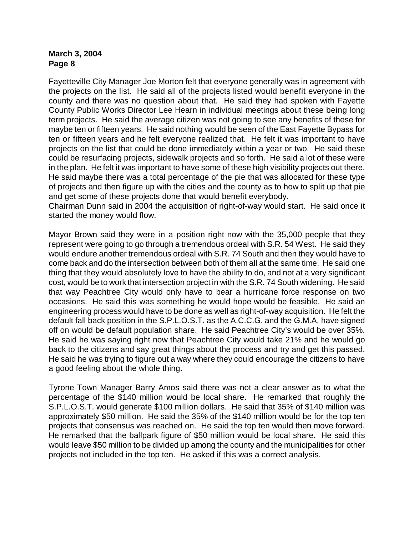Fayetteville City Manager Joe Morton felt that everyone generally was in agreement with the projects on the list. He said all of the projects listed would benefit everyone in the county and there was no question about that. He said they had spoken with Fayette County Public Works Director Lee Hearn in individual meetings about these being long term projects. He said the average citizen was not going to see any benefits of these for maybe ten or fifteen years. He said nothing would be seen of the East Fayette Bypass for ten or fifteen years and he felt everyone realized that. He felt it was important to have projects on the list that could be done immediately within a year or two. He said these could be resurfacing projects, sidewalk projects and so forth. He said a lot of these were in the plan. He felt it was important to have some of these high visibility projects out there. He said maybe there was a total percentage of the pie that was allocated for these type of projects and then figure up with the cities and the county as to how to split up that pie and get some of these projects done that would benefit everybody.

Chairman Dunn said in 2004 the acquisition of right-of-way would start. He said once it started the money would flow.

Mayor Brown said they were in a position right now with the 35,000 people that they represent were going to go through a tremendous ordeal with S.R. 54 West. He said they would endure another tremendous ordeal with S.R. 74 South and then they would have to come back and do the intersection between both of them all at the same time. He said one thing that they would absolutely love to have the ability to do, and not at a very significant cost, would be to work that intersection project in with the S.R. 74 South widening. He said that way Peachtree City would only have to bear a hurricane force response on two occasions. He said this was something he would hope would be feasible. He said an engineering process would have to be done as well as right-of-way acquisition. He felt the default fall back position in the S.P.L.O.S.T. as the A.C.C.G. and the G.M.A. have signed off on would be default population share. He said Peachtree City's would be over 35%. He said he was saying right now that Peachtree City would take 21% and he would go back to the citizens and say great things about the process and try and get this passed. He said he was trying to figure out a way where they could encourage the citizens to have a good feeling about the whole thing.

Tyrone Town Manager Barry Amos said there was not a clear answer as to what the percentage of the \$140 million would be local share. He remarked that roughly the S.P.L.O.S.T. would generate \$100 million dollars. He said that 35% of \$140 million was approximately \$50 million. He said the 35% of the \$140 million would be for the top ten projects that consensus was reached on. He said the top ten would then move forward. He remarked that the ballpark figure of \$50 million would be local share. He said this would leave \$50 million to be divided up among the county and the municipalities for other projects not included in the top ten. He asked if this was a correct analysis.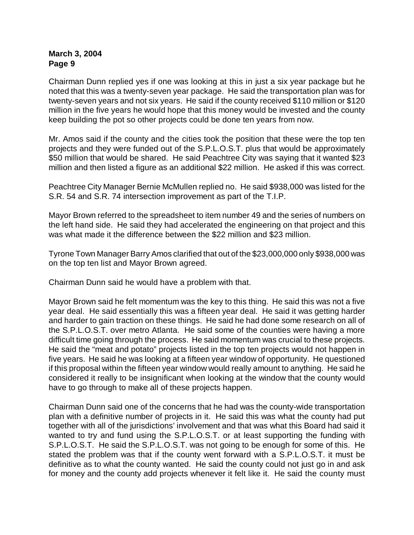Chairman Dunn replied yes if one was looking at this in just a six year package but he noted that this was a twenty-seven year package. He said the transportation plan was for twenty-seven years and not six years. He said if the county received \$110 million or \$120 million in the five years he would hope that this money would be invested and the county keep building the pot so other projects could be done ten years from now.

Mr. Amos said if the county and the cities took the position that these were the top ten projects and they were funded out of the S.P.L.O.S.T. plus that would be approximately \$50 million that would be shared. He said Peachtree City was saying that it wanted \$23 million and then listed a figure as an additional \$22 million. He asked if this was correct.

Peachtree City Manager Bernie McMullen replied no. He said \$938,000 was listed for the S.R. 54 and S.R. 74 intersection improvement as part of the T.I.P.

Mayor Brown referred to the spreadsheet to item number 49 and the series of numbers on the left hand side. He said they had accelerated the engineering on that project and this was what made it the difference between the \$22 million and \$23 million.

Tyrone Town Manager Barry Amos clarified that out of the \$23,000,000 only \$938,000 was on the top ten list and Mayor Brown agreed.

Chairman Dunn said he would have a problem with that.

Mayor Brown said he felt momentum was the key to this thing. He said this was not a five year deal. He said essentially this was a fifteen year deal. He said it was getting harder and harder to gain traction on these things. He said he had done some research on all of the S.P.L.O.S.T. over metro Atlanta. He said some of the counties were having a more difficult time going through the process. He said momentum was crucial to these projects. He said the "meat and potato" projects listed in the top ten projects would not happen in five years. He said he was looking at a fifteen year window of opportunity. He questioned if this proposal within the fifteen year window would really amount to anything. He said he considered it really to be insignificant when looking at the window that the county would have to go through to make all of these projects happen.

Chairman Dunn said one of the concerns that he had was the county-wide transportation plan with a definitive number of projects in it. He said this was what the county had put together with all of the jurisdictions' involvement and that was what this Board had said it wanted to try and fund using the S.P.L.O.S.T. or at least supporting the funding with S.P.L.O.S.T. He said the S.P.L.O.S.T. was not going to be enough for some of this. He stated the problem was that if the county went forward with a S.P.L.O.S.T. it must be definitive as to what the county wanted. He said the county could not just go in and ask for money and the county add projects whenever it felt like it. He said the county must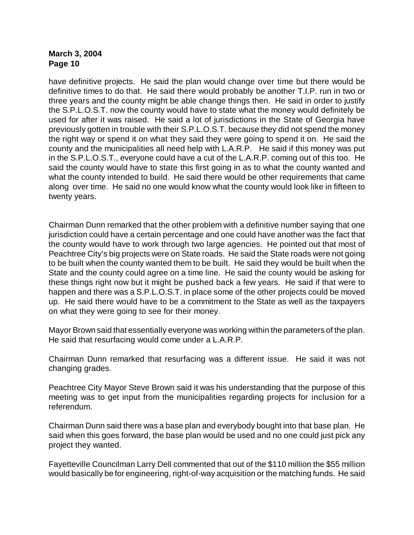have definitive projects. He said the plan would change over time but there would be definitive times to do that. He said there would probably be another T.I.P. run in two or three years and the county might be able change things then. He said in order to justify the S.P.L.O.S.T. now the county would have to state what the money would definitely be used for after it was raised. He said a lot of jurisdictions in the State of Georgia have previously gotten in trouble with their S.P.L.O.S.T. because they did not spend the money the right way or spend it on what they said they were going to spend it on. He said the county and the municipalities all need help with L.A.R.P. He said if this money was put in the S.P.L.O.S.T., everyone could have a cut of the L.A.R.P. coming out of this too. He said the county would have to state this first going in as to what the county wanted and what the county intended to build. He said there would be other requirements that came along over time. He said no one would know what the county would look like in fifteen to twenty years.

Chairman Dunn remarked that the other problem with a definitive number saying that one jurisdiction could have a certain percentage and one could have another was the fact that the county would have to work through two large agencies. He pointed out that most of Peachtree City's big projects were on State roads. He said the State roads were not going to be built when the county wanted them to be built. He said they would be built when the State and the county could agree on a time line. He said the county would be asking for these things right now but it might be pushed back a few years. He said if that were to happen and there was a S.P.L.O.S.T. in place some of the other projects could be moved up. He said there would have to be a commitment to the State as well as the taxpayers on what they were going to see for their money.

Mayor Brown said that essentially everyone was working within the parameters of the plan. He said that resurfacing would come under a L.A.R.P.

Chairman Dunn remarked that resurfacing was a different issue. He said it was not changing grades.

Peachtree City Mayor Steve Brown said it was his understanding that the purpose of this meeting was to get input from the municipalities regarding projects for inclusion for a referendum.

Chairman Dunn said there was a base plan and everybody bought into that base plan. He said when this goes forward, the base plan would be used and no one could just pick any project they wanted.

Fayetteville Councilman Larry Dell commented that out of the \$110 million the \$55 million would basically be for engineering, right-of-way acquisition or the matching funds. He said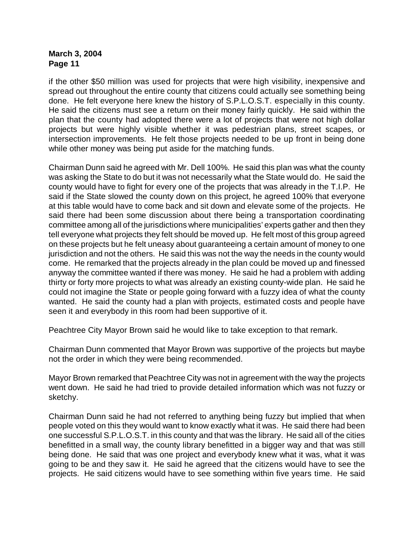if the other \$50 million was used for projects that were high visibility, inexpensive and spread out throughout the entire county that citizens could actually see something being done. He felt everyone here knew the history of S.P.L.O.S.T. especially in this county. He said the citizens must see a return on their money fairly quickly. He said within the plan that the county had adopted there were a lot of projects that were not high dollar projects but were highly visible whether it was pedestrian plans, street scapes, or intersection improvements. He felt those projects needed to be up front in being done while other money was being put aside for the matching funds.

Chairman Dunn said he agreed with Mr. Dell 100%. He said this plan was what the county was asking the State to do but it was not necessarily what the State would do. He said the county would have to fight for every one of the projects that was already in the T.I.P. He said if the State slowed the county down on this project, he agreed 100% that everyone at this table would have to come back and sit down and elevate some of the projects. He said there had been some discussion about there being a transportation coordinating committee among all of the jurisdictions where municipalities' experts gather and then they tell everyone what projects they felt should be moved up. He felt most of this group agreed on these projects but he felt uneasy about guaranteeing a certain amount of money to one jurisdiction and not the others. He said this was not the way the needs in the county would come. He remarked that the projects already in the plan could be moved up and finessed anyway the committee wanted if there was money. He said he had a problem with adding thirty or forty more projects to what was already an existing county-wide plan. He said he could not imagine the State or people going forward with a fuzzy idea of what the county wanted. He said the county had a plan with projects, estimated costs and people have seen it and everybody in this room had been supportive of it.

Peachtree City Mayor Brown said he would like to take exception to that remark.

Chairman Dunn commented that Mayor Brown was supportive of the projects but maybe not the order in which they were being recommended.

Mayor Brown remarked that Peachtree City was not in agreement with the way the projects went down. He said he had tried to provide detailed information which was not fuzzy or sketchy.

Chairman Dunn said he had not referred to anything being fuzzy but implied that when people voted on this they would want to know exactly what it was. He said there had been one successful S.P.L.O.S.T. in this county and that was the library. He said all of the cities benefitted in a small way, the county library benefitted in a bigger way and that was still being done. He said that was one project and everybody knew what it was, what it was going to be and they saw it. He said he agreed that the citizens would have to see the projects. He said citizens would have to see something within five years time. He said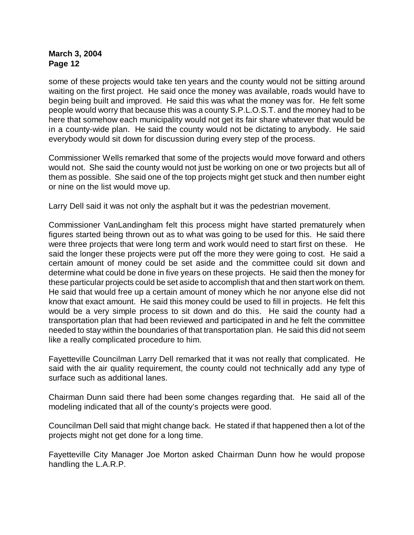some of these projects would take ten years and the county would not be sitting around waiting on the first project. He said once the money was available, roads would have to begin being built and improved. He said this was what the money was for. He felt some people would worry that because this was a county S.P.L.O.S.T. and the money had to be here that somehow each municipality would not get its fair share whatever that would be in a county-wide plan. He said the county would not be dictating to anybody. He said everybody would sit down for discussion during every step of the process.

Commissioner Wells remarked that some of the projects would move forward and others would not. She said the county would not just be working on one or two projects but all of them as possible. She said one of the top projects might get stuck and then number eight or nine on the list would move up.

Larry Dell said it was not only the asphalt but it was the pedestrian movement.

Commissioner VanLandingham felt this process might have started prematurely when figures started being thrown out as to what was going to be used for this. He said there were three projects that were long term and work would need to start first on these. He said the longer these projects were put off the more they were going to cost. He said a certain amount of money could be set aside and the committee could sit down and determine what could be done in five years on these projects. He said then the money for these particular projects could be set aside to accomplish that and then start work on them. He said that would free up a certain amount of money which he nor anyone else did not know that exact amount. He said this money could be used to fill in projects. He felt this would be a very simple process to sit down and do this. He said the county had a transportation plan that had been reviewed and participated in and he felt the committee needed to stay within the boundaries of that transportation plan. He said this did not seem like a really complicated procedure to him.

Fayetteville Councilman Larry Dell remarked that it was not really that complicated. He said with the air quality requirement, the county could not technically add any type of surface such as additional lanes.

Chairman Dunn said there had been some changes regarding that. He said all of the modeling indicated that all of the county's projects were good.

Councilman Dell said that might change back. He stated if that happened then a lot of the projects might not get done for a long time.

Fayetteville City Manager Joe Morton asked Chairman Dunn how he would propose handling the L.A.R.P.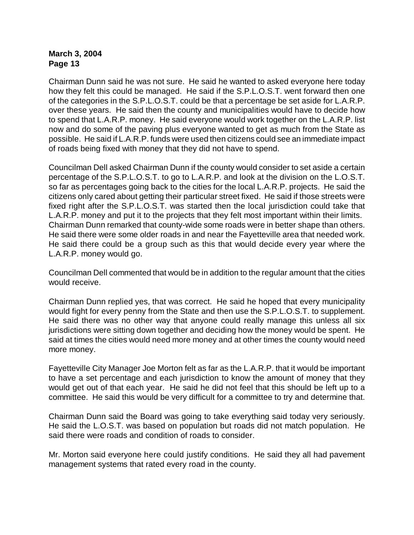Chairman Dunn said he was not sure. He said he wanted to asked everyone here today how they felt this could be managed. He said if the S.P.L.O.S.T. went forward then one of the categories in the S.P.L.O.S.T. could be that a percentage be set aside for L.A.R.P. over these years. He said then the county and municipalities would have to decide how to spend that L.A.R.P. money. He said everyone would work together on the L.A.R.P. list now and do some of the paving plus everyone wanted to get as much from the State as possible. He said if L.A.R.P. funds were used then citizens could see an immediate impact of roads being fixed with money that they did not have to spend.

Councilman Dell asked Chairman Dunn if the county would consider to set aside a certain percentage of the S.P.L.O.S.T. to go to L.A.R.P. and look at the division on the L.O.S.T. so far as percentages going back to the cities for the local L.A.R.P. projects. He said the citizens only cared about getting their particular street fixed. He said if those streets were fixed right after the S.P.L.O.S.T. was started then the local jurisdiction could take that L.A.R.P. money and put it to the projects that they felt most important within their limits. Chairman Dunn remarked that county-wide some roads were in better shape than others. He said there were some older roads in and near the Fayetteville area that needed work. He said there could be a group such as this that would decide every year where the L.A.R.P. money would go.

Councilman Dell commented that would be in addition to the regular amount that the cities would receive.

Chairman Dunn replied yes, that was correct. He said he hoped that every municipality would fight for every penny from the State and then use the S.P.L.O.S.T. to supplement. He said there was no other way that anyone could really manage this unless all six jurisdictions were sitting down together and deciding how the money would be spent. He said at times the cities would need more money and at other times the county would need more money.

Fayetteville City Manager Joe Morton felt as far as the L.A.R.P. that it would be important to have a set percentage and each jurisdiction to know the amount of money that they would get out of that each year. He said he did not feel that this should be left up to a committee. He said this would be very difficult for a committee to try and determine that.

Chairman Dunn said the Board was going to take everything said today very seriously. He said the L.O.S.T. was based on population but roads did not match population. He said there were roads and condition of roads to consider.

Mr. Morton said everyone here could justify conditions. He said they all had pavement management systems that rated every road in the county.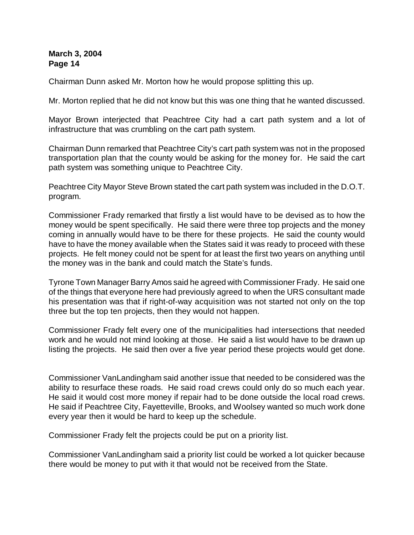Chairman Dunn asked Mr. Morton how he would propose splitting this up.

Mr. Morton replied that he did not know but this was one thing that he wanted discussed.

Mayor Brown interjected that Peachtree City had a cart path system and a lot of infrastructure that was crumbling on the cart path system.

Chairman Dunn remarked that Peachtree City's cart path system was not in the proposed transportation plan that the county would be asking for the money for. He said the cart path system was something unique to Peachtree City.

Peachtree City Mayor Steve Brown stated the cart path system was included in the D.O.T. program.

Commissioner Frady remarked that firstly a list would have to be devised as to how the money would be spent specifically. He said there were three top projects and the money coming in annually would have to be there for these projects. He said the county would have to have the money available when the States said it was ready to proceed with these projects. He felt money could not be spent for at least the first two years on anything until the money was in the bank and could match the State's funds.

Tyrone Town Manager Barry Amos said he agreed with Commissioner Frady. He said one of the things that everyone here had previously agreed to when the URS consultant made his presentation was that if right-of-way acquisition was not started not only on the top three but the top ten projects, then they would not happen.

Commissioner Frady felt every one of the municipalities had intersections that needed work and he would not mind looking at those. He said a list would have to be drawn up listing the projects. He said then over a five year period these projects would get done.

Commissioner VanLandingham said another issue that needed to be considered was the ability to resurface these roads. He said road crews could only do so much each year. He said it would cost more money if repair had to be done outside the local road crews. He said if Peachtree City, Fayetteville, Brooks, and Woolsey wanted so much work done every year then it would be hard to keep up the schedule.

Commissioner Frady felt the projects could be put on a priority list.

Commissioner VanLandingham said a priority list could be worked a lot quicker because there would be money to put with it that would not be received from the State.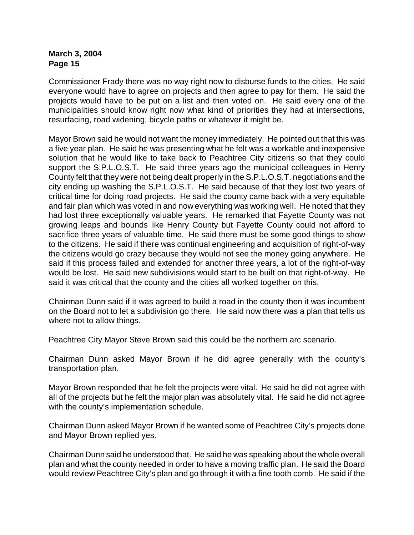Commissioner Frady there was no way right now to disburse funds to the cities. He said everyone would have to agree on projects and then agree to pay for them. He said the projects would have to be put on a list and then voted on. He said every one of the municipalities should know right now what kind of priorities they had at intersections, resurfacing, road widening, bicycle paths or whatever it might be.

Mayor Brown said he would not want the money immediately. He pointed out that this was a five year plan. He said he was presenting what he felt was a workable and inexpensive solution that he would like to take back to Peachtree City citizens so that they could support the S.P.L.O.S.T. He said three years ago the municipal colleagues in Henry County felt that they were not being dealt properly in the S.P.L.O.S.T. negotiations and the city ending up washing the S.P.L.O.S.T. He said because of that they lost two years of critical time for doing road projects. He said the county came back with a very equitable and fair plan which was voted in and now everything was working well. He noted that they had lost three exceptionally valuable years. He remarked that Fayette County was not growing leaps and bounds like Henry County but Fayette County could not afford to sacrifice three years of valuable time. He said there must be some good things to show to the citizens. He said if there was continual engineering and acquisition of right-of-way the citizens would go crazy because they would not see the money going anywhere. He said if this process failed and extended for another three years, a lot of the right-of-way would be lost. He said new subdivisions would start to be built on that right-of-way. He said it was critical that the county and the cities all worked together on this.

Chairman Dunn said if it was agreed to build a road in the county then it was incumbent on the Board not to let a subdivision go there. He said now there was a plan that tells us where not to allow things.

Peachtree City Mayor Steve Brown said this could be the northern arc scenario.

Chairman Dunn asked Mayor Brown if he did agree generally with the county's transportation plan.

Mayor Brown responded that he felt the projects were vital. He said he did not agree with all of the projects but he felt the major plan was absolutely vital. He said he did not agree with the county's implementation schedule.

Chairman Dunn asked Mayor Brown if he wanted some of Peachtree City's projects done and Mayor Brown replied yes.

Chairman Dunn said he understood that. He said he was speaking about the whole overall plan and what the county needed in order to have a moving traffic plan. He said the Board would review Peachtree City's plan and go through it with a fine tooth comb. He said if the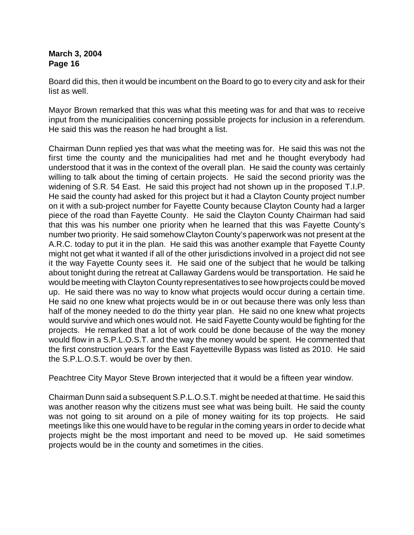Board did this, then it would be incumbent on the Board to go to every city and ask for their list as well.

Mayor Brown remarked that this was what this meeting was for and that was to receive input from the municipalities concerning possible projects for inclusion in a referendum. He said this was the reason he had brought a list.

Chairman Dunn replied yes that was what the meeting was for. He said this was not the first time the county and the municipalities had met and he thought everybody had understood that it was in the context of the overall plan. He said the county was certainly willing to talk about the timing of certain projects. He said the second priority was the widening of S.R. 54 East. He said this project had not shown up in the proposed T.I.P. He said the county had asked for this project but it had a Clayton County project number on it with a sub-project number for Fayette County because Clayton County had a larger piece of the road than Fayette County. He said the Clayton County Chairman had said that this was his number one priority when he learned that this was Fayette County's number two priority. He said somehow Clayton County's paperwork was not present at the A.R.C. today to put it in the plan. He said this was another example that Fayette County might not get what it wanted if all of the other jurisdictions involved in a project did not see it the way Fayette County sees it. He said one of the subject that he would be talking about tonight during the retreat at Callaway Gardens would be transportation. He said he would be meeting with Clayton County representatives to see how projects could be moved up. He said there was no way to know what projects would occur during a certain time. He said no one knew what projects would be in or out because there was only less than half of the money needed to do the thirty year plan. He said no one knew what projects would survive and which ones would not. He said Fayette County would be fighting for the projects. He remarked that a lot of work could be done because of the way the money would flow in a S.P.L.O.S.T. and the way the money would be spent. He commented that the first construction years for the East Fayetteville Bypass was listed as 2010. He said the S.P.L.O.S.T. would be over by then.

Peachtree City Mayor Steve Brown interjected that it would be a fifteen year window.

Chairman Dunn said a subsequent S.P.L.O.S.T. might be needed at that time. He said this was another reason why the citizens must see what was being built. He said the county was not going to sit around on a pile of money waiting for its top projects. He said meetings like this one would have to be regular in the coming years in order to decide what projects might be the most important and need to be moved up. He said sometimes projects would be in the county and sometimes in the cities.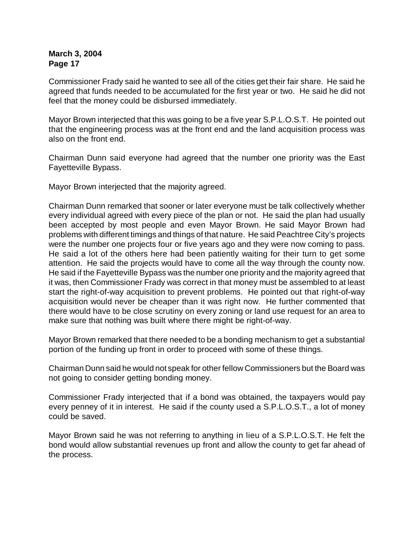Commissioner Frady said he wanted to see all of the cities get their fair share. He said he agreed that funds needed to be accumulated for the first year or two. He said he did not feel that the money could be disbursed immediately.

Mayor Brown interjected that this was going to be a five year S.P.L.O.S.T. He pointed out that the engineering process was at the front end and the land acquisition process was also on the front end.

Chairman Dunn said everyone had agreed that the number one priority was the East Fayetteville Bypass.

Mayor Brown interjected that the majority agreed.

Chairman Dunn remarked that sooner or later everyone must be talk collectively whether every individual agreed with every piece of the plan or not. He said the plan had usually been accepted by most people and even Mayor Brown. He said Mayor Brown had problems with different timings and things of that nature. He said Peachtree City's projects were the number one projects four or five years ago and they were now coming to pass. He said a lot of the others here had been patiently waiting for their turn to get some attention. He said the projects would have to come all the way through the county now. He said if the Fayetteville Bypass was the number one priority and the majority agreed that it was, then Commissioner Frady was correct in that money must be assembled to at least start the right-of-way acquisition to prevent problems. He pointed out that right-of-way acquisition would never be cheaper than it was right now. He further commented that there would have to be close scrutiny on every zoning or land use request for an area to make sure that nothing was built where there might be right-of-way.

Mayor Brown remarked that there needed to be a bonding mechanism to get a substantial portion of the funding up front in order to proceed with some of these things.

Chairman Dunn said he would not speak for other fellow Commissioners but the Board was not going to consider getting bonding money.

Commissioner Frady interjected that if a bond was obtained, the taxpayers would pay every penney of it in interest. He said if the county used a S.P.L.O.S.T., a lot of money could be saved.

Mayor Brown said he was not referring to anything in lieu of a S.P.L.O.S.T. He felt the bond would allow substantial revenues up front and allow the county to get far ahead of the process.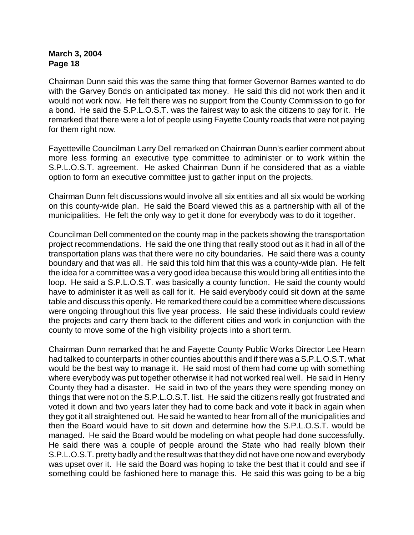Chairman Dunn said this was the same thing that former Governor Barnes wanted to do with the Garvey Bonds on anticipated tax money. He said this did not work then and it would not work now. He felt there was no support from the County Commission to go for a bond. He said the S.P.L.O.S.T. was the fairest way to ask the citizens to pay for it. He remarked that there were a lot of people using Fayette County roads that were not paying for them right now.

Fayetteville Councilman Larry Dell remarked on Chairman Dunn's earlier comment about more less forming an executive type committee to administer or to work within the S.P.L.O.S.T. agreement. He asked Chairman Dunn if he considered that as a viable option to form an executive committee just to gather input on the projects.

Chairman Dunn felt discussions would involve all six entities and all six would be working on this county-wide plan. He said the Board viewed this as a partnership with all of the municipalities. He felt the only way to get it done for everybody was to do it together.

Councilman Dell commented on the county map in the packets showing the transportation project recommendations. He said the one thing that really stood out as it had in all of the transportation plans was that there were no city boundaries. He said there was a county boundary and that was all. He said this told him that this was a county-wide plan. He felt the idea for a committee was a very good idea because this would bring all entities into the loop. He said a S.P.L.O.S.T. was basically a county function. He said the county would have to administer it as well as call for it. He said everybody could sit down at the same table and discuss this openly. He remarked there could be a committee where discussions were ongoing throughout this five year process. He said these individuals could review the projects and carry them back to the different cities and work in conjunction with the county to move some of the high visibility projects into a short term.

Chairman Dunn remarked that he and Fayette County Public Works Director Lee Hearn had talked to counterparts in other counties about this and if there was a S.P.L.O.S.T. what would be the best way to manage it. He said most of them had come up with something where everybody was put together otherwise it had not worked real well. He said in Henry County they had a disaster. He said in two of the years they were spending money on things that were not on the S.P.L.O.S.T. list. He said the citizens really got frustrated and voted it down and two years later they had to come back and vote it back in again when they got it all straightened out. He said he wanted to hear from all of the municipalities and then the Board would have to sit down and determine how the S.P.L.O.S.T. would be managed. He said the Board would be modeling on what people had done successfully. He said there was a couple of people around the State who had really blown their S.P.L.O.S.T. pretty badly and the result was that they did not have one now and everybody was upset over it. He said the Board was hoping to take the best that it could and see if something could be fashioned here to manage this. He said this was going to be a big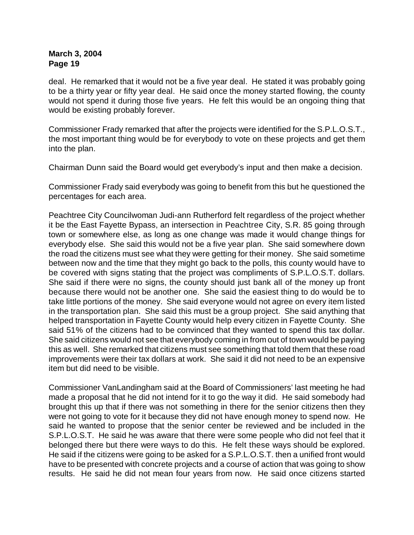deal. He remarked that it would not be a five year deal. He stated it was probably going to be a thirty year or fifty year deal. He said once the money started flowing, the county would not spend it during those five years. He felt this would be an ongoing thing that would be existing probably forever.

Commissioner Frady remarked that after the projects were identified for the S.P.L.O.S.T., the most important thing would be for everybody to vote on these projects and get them into the plan.

Chairman Dunn said the Board would get everybody's input and then make a decision.

Commissioner Frady said everybody was going to benefit from this but he questioned the percentages for each area.

Peachtree City Councilwoman Judi-ann Rutherford felt regardless of the project whether it be the East Fayette Bypass, an intersection in Peachtree City, S.R. 85 going through town or somewhere else, as long as one change was made it would change things for everybody else. She said this would not be a five year plan. She said somewhere down the road the citizens must see what they were getting for their money. She said sometime between now and the time that they might go back to the polls, this county would have to be covered with signs stating that the project was compliments of S.P.L.O.S.T. dollars. She said if there were no signs, the county should just bank all of the money up front because there would not be another one. She said the easiest thing to do would be to take little portions of the money. She said everyone would not agree on every item listed in the transportation plan. She said this must be a group project. She said anything that helped transportation in Fayette County would help every citizen in Fayette County. She said 51% of the citizens had to be convinced that they wanted to spend this tax dollar. She said citizens would not see that everybody coming in from out of town would be paying this as well. She remarked that citizens must see something that told them that these road improvements were their tax dollars at work. She said it did not need to be an expensive item but did need to be visible.

Commissioner VanLandingham said at the Board of Commissioners' last meeting he had made a proposal that he did not intend for it to go the way it did. He said somebody had brought this up that if there was not something in there for the senior citizens then they were not going to vote for it because they did not have enough money to spend now. He said he wanted to propose that the senior center be reviewed and be included in the S.P.L.O.S.T. He said he was aware that there were some people who did not feel that it belonged there but there were ways to do this. He felt these ways should be explored. He said if the citizens were going to be asked for a S.P.L.O.S.T. then a unified front would have to be presented with concrete projects and a course of action that was going to show results. He said he did not mean four years from now. He said once citizens started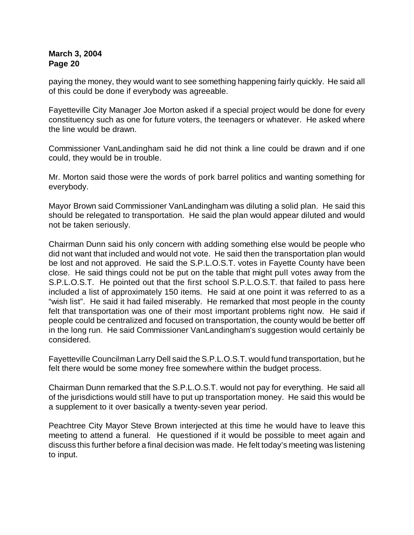paying the money, they would want to see something happening fairly quickly. He said all of this could be done if everybody was agreeable.

Fayetteville City Manager Joe Morton asked if a special project would be done for every constituency such as one for future voters, the teenagers or whatever. He asked where the line would be drawn.

Commissioner VanLandingham said he did not think a line could be drawn and if one could, they would be in trouble.

Mr. Morton said those were the words of pork barrel politics and wanting something for everybody.

Mayor Brown said Commissioner VanLandingham was diluting a solid plan. He said this should be relegated to transportation. He said the plan would appear diluted and would not be taken seriously.

Chairman Dunn said his only concern with adding something else would be people who did not want that included and would not vote. He said then the transportation plan would be lost and not approved. He said the S.P.L.O.S.T. votes in Fayette County have been close. He said things could not be put on the table that might pull votes away from the S.P.L.O.S.T. He pointed out that the first school S.P.L.O.S.T. that failed to pass here included a list of approximately 150 items. He said at one point it was referred to as a "wish list". He said it had failed miserably. He remarked that most people in the county felt that transportation was one of their most important problems right now. He said if people could be centralized and focused on transportation, the county would be better off in the long run. He said Commissioner VanLandingham's suggestion would certainly be considered.

Fayetteville Councilman Larry Dell said the S.P.L.O.S.T. would fund transportation, but he felt there would be some money free somewhere within the budget process.

Chairman Dunn remarked that the S.P.L.O.S.T. would not pay for everything. He said all of the jurisdictions would still have to put up transportation money. He said this would be a supplement to it over basically a twenty-seven year period.

Peachtree City Mayor Steve Brown interjected at this time he would have to leave this meeting to attend a funeral. He questioned if it would be possible to meet again and discuss this further before a final decision was made. He felt today's meeting was listening to input.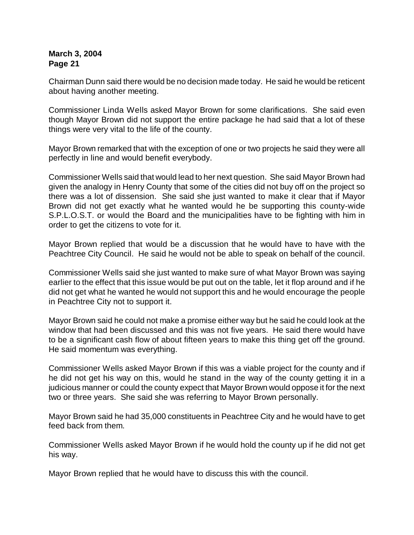Chairman Dunn said there would be no decision made today. He said he would be reticent about having another meeting.

Commissioner Linda Wells asked Mayor Brown for some clarifications. She said even though Mayor Brown did not support the entire package he had said that a lot of these things were very vital to the life of the county.

Mayor Brown remarked that with the exception of one or two projects he said they were all perfectly in line and would benefit everybody.

Commissioner Wells said that would lead to her next question. She said Mayor Brown had given the analogy in Henry County that some of the cities did not buy off on the project so there was a lot of dissension. She said she just wanted to make it clear that if Mayor Brown did not get exactly what he wanted would he be supporting this county-wide S.P.L.O.S.T. or would the Board and the municipalities have to be fighting with him in order to get the citizens to vote for it.

Mayor Brown replied that would be a discussion that he would have to have with the Peachtree City Council. He said he would not be able to speak on behalf of the council.

Commissioner Wells said she just wanted to make sure of what Mayor Brown was saying earlier to the effect that this issue would be put out on the table, let it flop around and if he did not get what he wanted he would not support this and he would encourage the people in Peachtree City not to support it.

Mayor Brown said he could not make a promise either way but he said he could look at the window that had been discussed and this was not five years. He said there would have to be a significant cash flow of about fifteen years to make this thing get off the ground. He said momentum was everything.

Commissioner Wells asked Mayor Brown if this was a viable project for the county and if he did not get his way on this, would he stand in the way of the county getting it in a judicious manner or could the county expect that Mayor Brown would oppose it for the next two or three years. She said she was referring to Mayor Brown personally.

Mayor Brown said he had 35,000 constituents in Peachtree City and he would have to get feed back from them.

Commissioner Wells asked Mayor Brown if he would hold the county up if he did not get his way.

Mayor Brown replied that he would have to discuss this with the council.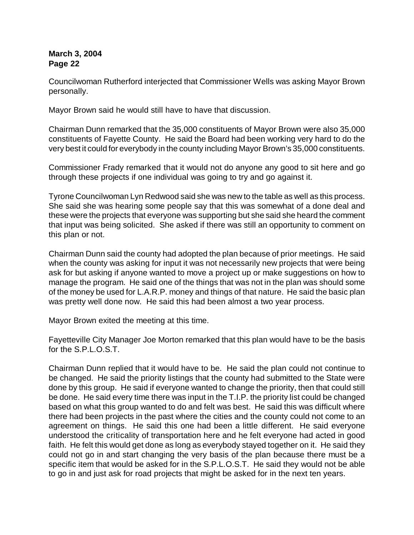Councilwoman Rutherford interjected that Commissioner Wells was asking Mayor Brown personally.

Mayor Brown said he would still have to have that discussion.

Chairman Dunn remarked that the 35,000 constituents of Mayor Brown were also 35,000 constituents of Fayette County. He said the Board had been working very hard to do the very best it could for everybody in the county including Mayor Brown's 35,000 constituents.

Commissioner Frady remarked that it would not do anyone any good to sit here and go through these projects if one individual was going to try and go against it.

Tyrone Councilwoman Lyn Redwood said she was new to the table as well as this process. She said she was hearing some people say that this was somewhat of a done deal and these were the projects that everyone was supporting but she said she heard the comment that input was being solicited. She asked if there was still an opportunity to comment on this plan or not.

Chairman Dunn said the county had adopted the plan because of prior meetings. He said when the county was asking for input it was not necessarily new projects that were being ask for but asking if anyone wanted to move a project up or make suggestions on how to manage the program. He said one of the things that was not in the plan was should some of the money be used for L.A.R.P. money and things of that nature. He said the basic plan was pretty well done now. He said this had been almost a two year process.

Mayor Brown exited the meeting at this time.

Fayetteville City Manager Joe Morton remarked that this plan would have to be the basis for the S.P.L.O.S.T.

Chairman Dunn replied that it would have to be. He said the plan could not continue to be changed. He said the priority listings that the county had submitted to the State were done by this group. He said if everyone wanted to change the priority, then that could still be done. He said every time there was input in the T.I.P. the priority list could be changed based on what this group wanted to do and felt was best. He said this was difficult where there had been projects in the past where the cities and the county could not come to an agreement on things. He said this one had been a little different. He said everyone understood the criticality of transportation here and he felt everyone had acted in good faith. He felt this would get done as long as everybody stayed together on it. He said they could not go in and start changing the very basis of the plan because there must be a specific item that would be asked for in the S.P.L.O.S.T. He said they would not be able to go in and just ask for road projects that might be asked for in the next ten years.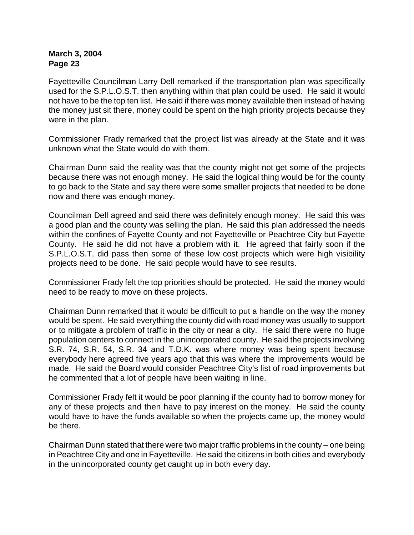Fayetteville Councilman Larry Dell remarked if the transportation plan was specifically used for the S.P.L.O.S.T. then anything within that plan could be used. He said it would not have to be the top ten list. He said if there was money available then instead of having the money just sit there, money could be spent on the high priority projects because they were in the plan.

Commissioner Frady remarked that the project list was already at the State and it was unknown what the State would do with them.

Chairman Dunn said the reality was that the county might not get some of the projects because there was not enough money. He said the logical thing would be for the county to go back to the State and say there were some smaller projects that needed to be done now and there was enough money.

Councilman Dell agreed and said there was definitely enough money. He said this was a good plan and the county was selling the plan. He said this plan addressed the needs within the confines of Fayette County and not Fayetteville or Peachtree City but Fayette County. He said he did not have a problem with it. He agreed that fairly soon if the S.P.L.O.S.T. did pass then some of these low cost projects which were high visibility projects need to be done. He said people would have to see results.

Commissioner Frady felt the top priorities should be protected. He said the money would need to be ready to move on these projects.

Chairman Dunn remarked that it would be difficult to put a handle on the way the money would be spent. He said everything the county did with road money was usually to support or to mitigate a problem of traffic in the city or near a city. He said there were no huge population centers to connect in the unincorporated county. He said the projects involving S.R. 74, S.R. 54, S.R. 34 and T.D.K. was where money was being spent because everybody here agreed five years ago that this was where the improvements would be made. He said the Board would consider Peachtree City's list of road improvements but he commented that a lot of people have been waiting in line.

Commissioner Frady felt it would be poor planning if the county had to borrow money for any of these projects and then have to pay interest on the money. He said the county would have to have the funds available so when the projects came up, the money would be there.

Chairman Dunn stated that there were two major traffic problems in the county – one being in Peachtree City and one in Fayetteville. He said the citizens in both cities and everybody in the unincorporated county get caught up in both every day.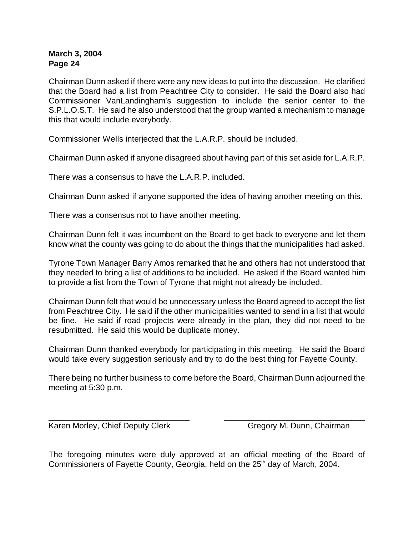Chairman Dunn asked if there were any new ideas to put into the discussion. He clarified that the Board had a list from Peachtree City to consider. He said the Board also had Commissioner VanLandingham's suggestion to include the senior center to the S.P.L.O.S.T. He said he also understood that the group wanted a mechanism to manage this that would include everybody.

Commissioner Wells interjected that the L.A.R.P. should be included.

Chairman Dunn asked if anyone disagreed about having part of this set aside for L.A.R.P.

There was a consensus to have the L.A.R.P. included.

Chairman Dunn asked if anyone supported the idea of having another meeting on this.

There was a consensus not to have another meeting.

Chairman Dunn felt it was incumbent on the Board to get back to everyone and let them know what the county was going to do about the things that the municipalities had asked.

Tyrone Town Manager Barry Amos remarked that he and others had not understood that they needed to bring a list of additions to be included. He asked if the Board wanted him to provide a list from the Town of Tyrone that might not already be included.

Chairman Dunn felt that would be unnecessary unless the Board agreed to accept the list from Peachtree City. He said if the other municipalities wanted to send in a list that would be fine. He said if road projects were already in the plan, they did not need to be resubmitted. He said this would be duplicate money.

Chairman Dunn thanked everybody for participating in this meeting. He said the Board would take every suggestion seriously and try to do the best thing for Fayette County.

There being no further business to come before the Board, Chairman Dunn adjourned the meeting at 5:30 p.m.

\_\_\_\_\_\_\_\_\_\_\_\_\_\_\_\_\_\_\_\_\_\_\_\_\_\_\_\_\_\_\_ \_\_\_\_\_\_\_\_\_\_\_\_\_\_\_\_\_\_\_\_\_\_\_\_\_\_\_\_\_\_\_

Karen Morley, Chief Deputy Clerk Gregory M. Dunn, Chairman

The foregoing minutes were duly approved at an official meeting of the Board of Commissioners of Fayette County, Georgia, held on the 25<sup>th</sup> day of March, 2004.